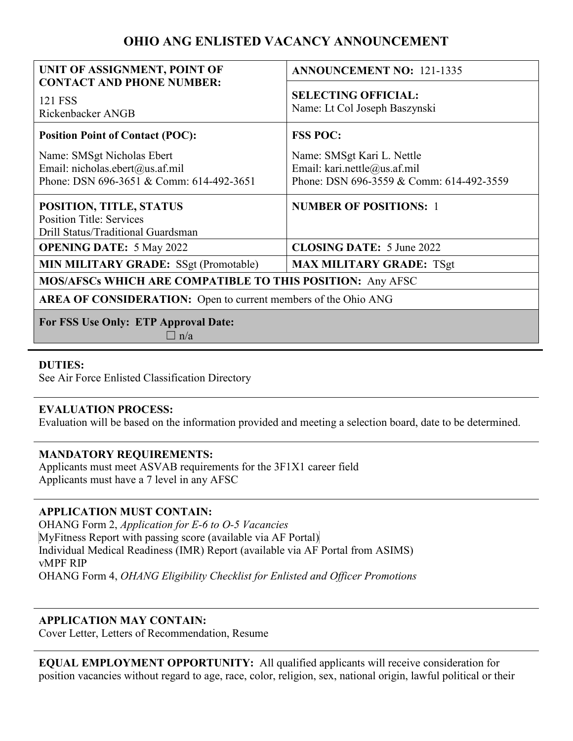# **OHIO ANG ENLISTED VACANCY ANNOUNCEMENT**

| UNIT OF ASSIGNMENT, POINT OF                                                                              | <b>ANNOUNCEMENT NO: 121-1335</b>                                                                       |
|-----------------------------------------------------------------------------------------------------------|--------------------------------------------------------------------------------------------------------|
| <b>CONTACT AND PHONE NUMBER:</b><br>121 FSS<br>Rickenbacker ANGB                                          | <b>SELECTING OFFICIAL:</b><br>Name: Lt Col Joseph Baszynski                                            |
| <b>Position Point of Contact (POC):</b>                                                                   | <b>FSS POC:</b>                                                                                        |
| Name: SMSgt Nicholas Ebert<br>Email: nicholas.ebert@us.af.mil<br>Phone: DSN 696-3651 & Comm: 614-492-3651 | Name: SMSgt Kari L. Nettle<br>Email: kari.nettle@us.af.mil<br>Phone: DSN 696-3559 & Comm: 614-492-3559 |
| POSITION, TITLE, STATUS<br><b>Position Title: Services</b><br>Drill Status/Traditional Guardsman          | <b>NUMBER OF POSITIONS: 1</b>                                                                          |
| <b>OPENING DATE: 5 May 2022</b>                                                                           | <b>CLOSING DATE:</b> 5 June 2022                                                                       |
| <b>MIN MILITARY GRADE:</b> SSgt (Promotable)                                                              | <b>MAX MILITARY GRADE: TSgt</b>                                                                        |
| <b>MOS/AFSCs WHICH ARE COMPATIBLE TO THIS POSITION: Any AFSC</b>                                          |                                                                                                        |
| <b>AREA OF CONSIDERATION:</b> Open to current members of the Ohio ANG                                     |                                                                                                        |
| For FSS Use Only: ETP Approval Date:<br>$\ln/a$                                                           |                                                                                                        |

## **DUTIES:**

See Air Force Enlisted Classification Directory

## **EVALUATION PROCESS:**

Evaluation will be based on the information provided and meeting a selection board, date to be determined.

## **MANDATORY REQUIREMENTS:**

Applicants must meet ASVAB requirements for the 3F1X1 career field Applicants must have a 7 level in any AFSC

## **APPLICATION MUST CONTAIN:**

OHANG Form 2, *Application for E-6 to O-5 Vacancies*  MyFitness Report with passing score (available via AF Portal) Individual Medical Readiness (IMR) Report (available via AF Portal from ASIMS) vMPF RIP OHANG Form 4, *OHANG Eligibility Checklist for Enlisted and Officer Promotions* 

## **APPLICATION MAY CONTAIN:**

Cover Letter, Letters of Recommendation, Resume

**EQUAL EMPLOYMENT OPPORTUNITY:** All qualified applicants will receive consideration for position vacancies without regard to age, race, color, religion, sex, national origin, lawful political or their